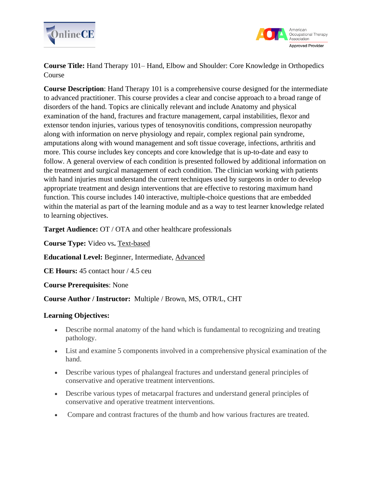



**Course Title:** Hand Therapy 101– Hand, Elbow and Shoulder: Core Knowledge in Orthopedics Course

**Course Description**: Hand Therapy 101 is a comprehensive course designed for the intermediate to advanced practitioner. This course provides a clear and concise approach to a broad range of disorders of the hand. Topics are clinically relevant and include Anatomy and physical examination of the hand, fractures and fracture management, carpal instabilities, flexor and extensor tendon injuries, various types of tenosynovitis conditions, compression neuropathy along with information on nerve physiology and repair, complex regional pain syndrome, amputations along with wound management and soft tissue coverage, infections, arthritis and more. This course includes key concepts and core knowledge that is up-to-date and easy to follow. A general overview of each condition is presented followed by additional information on the treatment and surgical management of each condition. The clinician working with patients with hand injuries must understand the current techniques used by surgeons in order to develop appropriate treatment and design interventions that are effective to restoring maximum hand function. This course includes 140 interactive, multiple-choice questions that are embedded within the material as part of the learning module and as a way to test learner knowledge related to learning objectives.

**Target Audience:** OT / OTA and other healthcare professionals

**Course Type:** Video vs**.** Text-based

**Educational Level:** Beginner, Intermediate, Advanced

**CE Hours:** 45 contact hour / 4.5 ceu

### **Course Prerequisites**: None

# **Course Author / Instructor:** Multiple / Brown, MS, OTR/L, CHT

### **Learning Objectives:**

- Describe normal anatomy of the hand which is fundamental to recognizing and treating pathology.
- List and examine 5 components involved in a comprehensive physical examination of the hand.
- Describe various types of phalangeal fractures and understand general principles of conservative and operative treatment interventions.
- Describe various types of metacarpal fractures and understand general principles of conservative and operative treatment interventions.
- Compare and contrast fractures of the thumb and how various fractures are treated.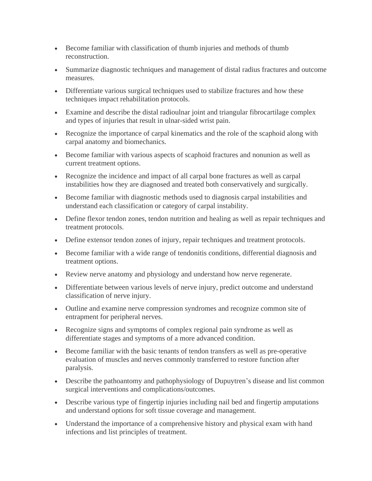- Become familiar with classification of thumb injuries and methods of thumb reconstruction.
- Summarize diagnostic techniques and management of distal radius fractures and outcome measures.
- Differentiate various surgical techniques used to stabilize fractures and how these techniques impact rehabilitation protocols.
- Examine and describe the distal radioulnar joint and triangular fibrocartilage complex and types of injuries that result in ulnar-sided wrist pain.
- Recognize the importance of carpal kinematics and the role of the scaphoid along with carpal anatomy and biomechanics.
- Become familiar with various aspects of scaphoid fractures and nonunion as well as current treatment options.
- Recognize the incidence and impact of all carpal bone fractures as well as carpal instabilities how they are diagnosed and treated both conservatively and surgically.
- Become familiar with diagnostic methods used to diagnosis carpal instabilities and understand each classification or category of carpal instability.
- Define flexor tendon zones, tendon nutrition and healing as well as repair techniques and treatment protocols.
- Define extensor tendon zones of injury, repair techniques and treatment protocols.
- Become familiar with a wide range of tendonitis conditions, differential diagnosis and treatment options.
- Review nerve anatomy and physiology and understand how nerve regenerate.
- Differentiate between various levels of nerve injury, predict outcome and understand classification of nerve injury.
- Outline and examine nerve compression syndromes and recognize common site of entrapment for peripheral nerves.
- Recognize signs and symptoms of complex regional pain syndrome as well as differentiate stages and symptoms of a more advanced condition.
- Become familiar with the basic tenants of tendon transfers as well as pre-operative evaluation of muscles and nerves commonly transferred to restore function after paralysis.
- Describe the pathoantomy and pathophysiology of Dupuytren's disease and list common surgical interventions and complications/outcomes.
- Describe various type of fingertip injuries including nail bed and fingertip amputations and understand options for soft tissue coverage and management.
- Understand the importance of a comprehensive history and physical exam with hand infections and list principles of treatment.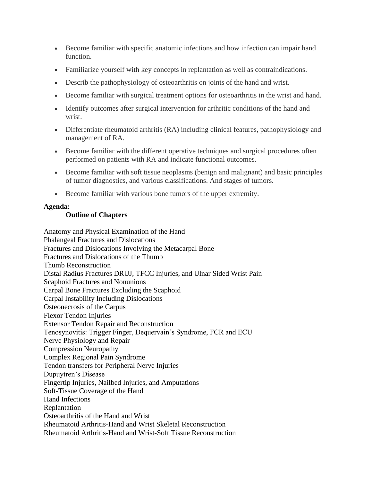- Become familiar with specific anatomic infections and how infection can impair hand function.
- Familiarize yourself with key concepts in replantation as well as contraindications.
- Describ the pathophysiology of osteoarthritis on joints of the hand and wrist.
- Become familiar with surgical treatment options for osteoarthritis in the wrist and hand.
- Identify outcomes after surgical intervention for arthritic conditions of the hand and wrist.
- Differentiate rheumatoid arthritis (RA) including clinical features, pathophysiology and management of RA.
- Become familiar with the different operative techniques and surgical procedures often performed on patients with RA and indicate functional outcomes.
- Become familiar with soft tissue neoplasms (benign and malignant) and basic principles of tumor diagnostics, and various classifications. And stages of tumors.
- Become familiar with various bone tumors of the upper extremity.

## **Agenda:**

# **Outline of Chapters**

Anatomy and Physical Examination of the Hand Phalangeal Fractures and Dislocations Fractures and Dislocations Involving the Metacarpal Bone Fractures and Dislocations of the Thumb Thumb Reconstruction Distal Radius Fractures DRUJ, TFCC Injuries, and Ulnar Sided Wrist Pain Scaphoid Fractures and Nonunions Carpal Bone Fractures Excluding the Scaphoid Carpal Instability Including Dislocations Osteonecrosis of the Carpus Flexor Tendon Injuries Extensor Tendon Repair and Reconstruction Tenosynovitis: Trigger Finger, Dequervain's Syndrome, FCR and ECU Nerve Physiology and Repair Compression Neuropathy Complex Regional Pain Syndrome Tendon transfers for Peripheral Nerve Injuries Dupuytren's Disease Fingertip Injuries, Nailbed Injuries, and Amputations Soft-Tissue Coverage of the Hand Hand Infections Replantation Osteoarthritis of the Hand and Wrist Rheumatoid Arthritis-Hand and Wrist Skeletal Reconstruction Rheumatoid Arthritis-Hand and Wrist-Soft Tissue Reconstruction